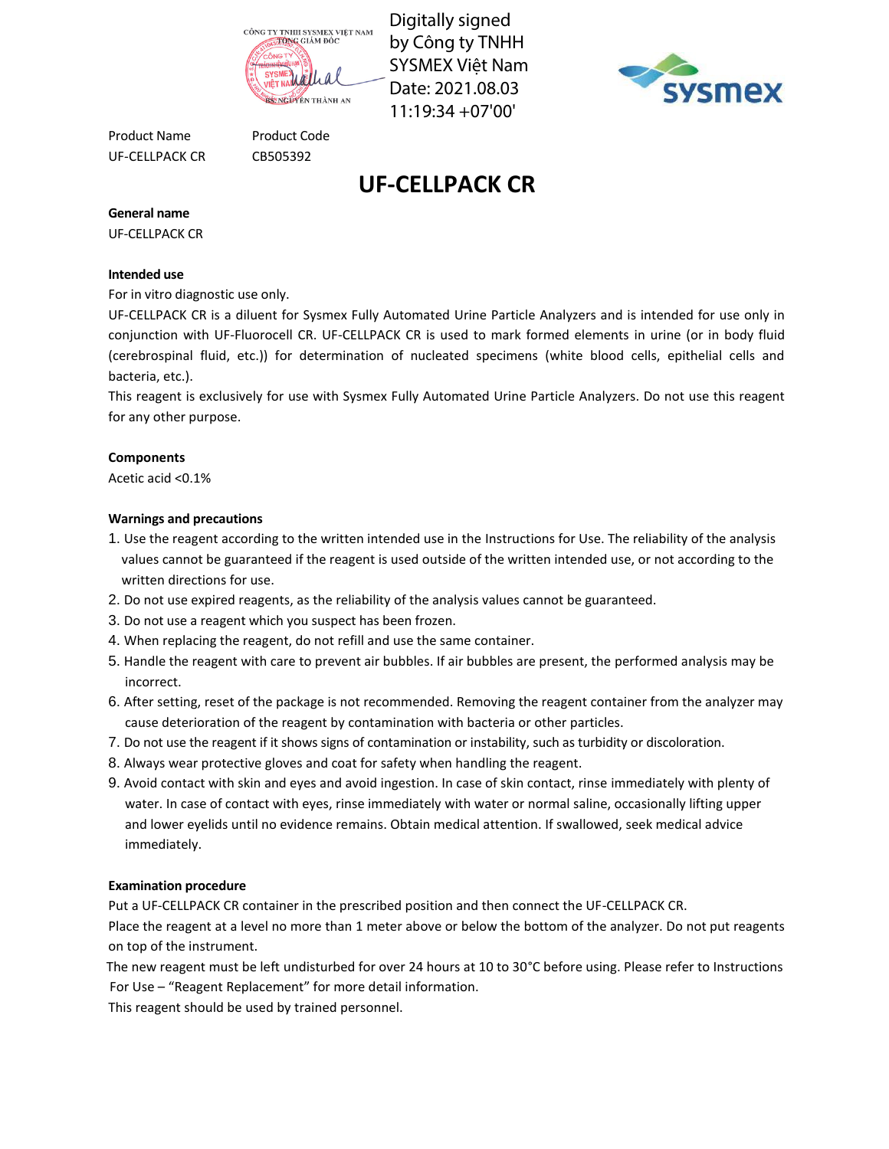

Digitally signed by Công ty TNHH SYSMEX Việt Nam Date: 2021.08.03 11:19:34 +07'00'



Product Name Product Code UF-CELLPACK CR CB505392

# **UF-CELLPACK CR**

**General name**

UF-CELLPACK CR

# **Intended use**

For in vitro diagnostic use only.

UF-CELLPACK CR is a diluent for Sysmex Fully Automated Urine Particle Analyzers and is intended for use only in conjunction with UF-Fluorocell CR. UF-CELLPACK CR is used to mark formed elements in urine (or in body fluid (cerebrospinal fluid, etc.)) for determination of nucleated specimens (white blood cells, epithelial cells and bacteria, etc.).

This reagent is exclusively for use with Sysmex Fully Automated Urine Particle Analyzers. Do not use this reagent for any other purpose.

# **Components**

Acetic acid <0.1%

# **Warnings and precautions**

- 1. Use the reagent according to the written intended use in the Instructions for Use. The reliability of the analysis values cannot be guaranteed if the reagent is used outside of the written intended use, or not according to the written directions for use.
- 2. Do not use expired reagents, as the reliability of the analysis values cannot be guaranteed.
- 3. Do not use a reagent which you suspect has been frozen.
- 4. When replacing the reagent, do not refill and use the same container.
- 5. Handle the reagent with care to prevent air bubbles. If air bubbles are present, the performed analysis may be incorrect.
- 6. After setting, reset of the package is not recommended. Removing the reagent container from the analyzer may cause deterioration of the reagent by contamination with bacteria or other particles.
- 7. Do not use the reagent if it shows signs of contamination or instability, such as turbidity or discoloration.
- 8. Always wear protective gloves and coat for safety when handling the reagent.
- 9. Avoid contact with skin and eyes and avoid ingestion. In case of skin contact, rinse immediately with plenty of water. In case of contact with eyes, rinse immediately with water or normal saline, occasionally lifting upper and lower eyelids until no evidence remains. Obtain medical attention. If swallowed, seek medical advice immediately.

## **Examination procedure**

Put a UF-CELLPACK CR container in the prescribed position and then connect the UF-CELLPACK CR.

Place the reagent at a level no more than 1 meter above or below the bottom of the analyzer. Do not put reagents on top of the instrument.

The new reagent must be left undisturbed for over 24 hours at 10 to 30°C before using. Please refer to Instructions For Use – "Reagent Replacement" for more detail information.

This reagent should be used by trained personnel.